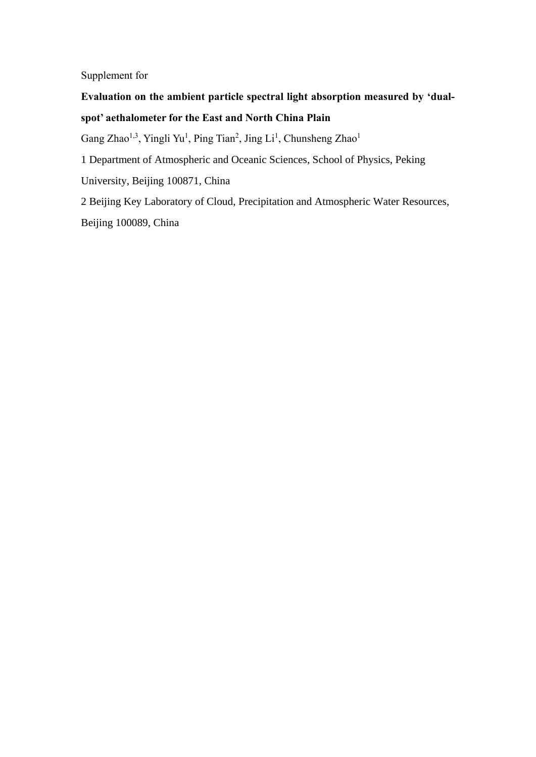Supplement for

## **Evaluation on the ambient particle spectral light absorption measured by 'dualspot' aethalometer for the East and North China Plain**

Gang Zhao<sup>1,3</sup>, Yingli Yu<sup>1</sup>, Ping Tian<sup>2</sup>, Jing Li<sup>1</sup>, Chunsheng Zhao<sup>1</sup>

1 Department of Atmospheric and Oceanic Sciences, School of Physics, Peking

University, Beijing 100871, China

2 Beijing Key Laboratory of Cloud, Precipitation and Atmospheric Water Resources, Beijing 100089, China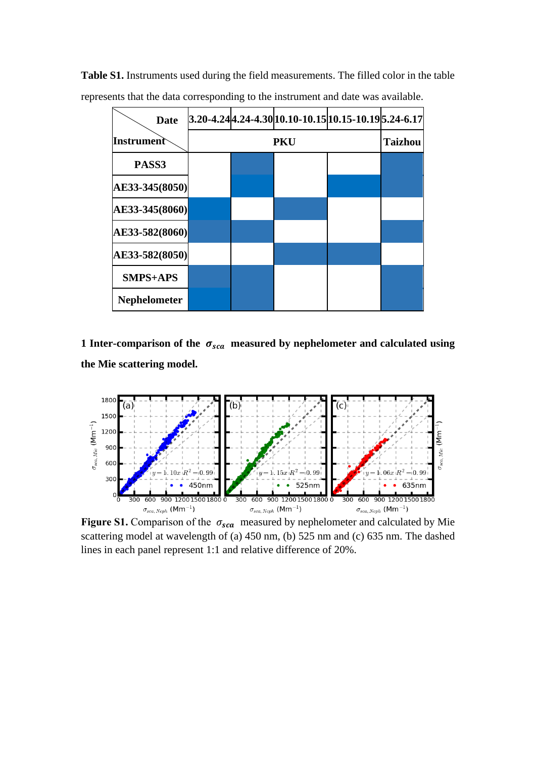| <b>Date</b>         |            |  |  | 3.20-4.24 4.24-4.30 10.10-10.15 10.15-10.19 5.24-6.17 |  |
|---------------------|------------|--|--|-------------------------------------------------------|--|
| Instrument          | <b>PKU</b> |  |  | <b>Taizhou</b>                                        |  |
| PASS3               |            |  |  |                                                       |  |
| AE33-345(8050)      |            |  |  |                                                       |  |
| AE33-345(8060)      |            |  |  |                                                       |  |
| AE33-582(8060)      |            |  |  |                                                       |  |
| AE33-582(8050)      |            |  |  |                                                       |  |
| <b>SMPS+APS</b>     |            |  |  |                                                       |  |
| <b>Nephelometer</b> |            |  |  |                                                       |  |

**Table S1.** Instruments used during the field measurements. The filled color in the table represents that the data corresponding to the instrument and date was available.

**1 Inter-comparison of the**  $\sigma_{sca}$  **measured by nephelometer and calculated using the Mie scattering model.**



scattering model at wavelength of (a) 450 nm, (b) 525 nm and (c) 635 nm. The dashed lines in each panel represent 1:1 and relative difference of 20%.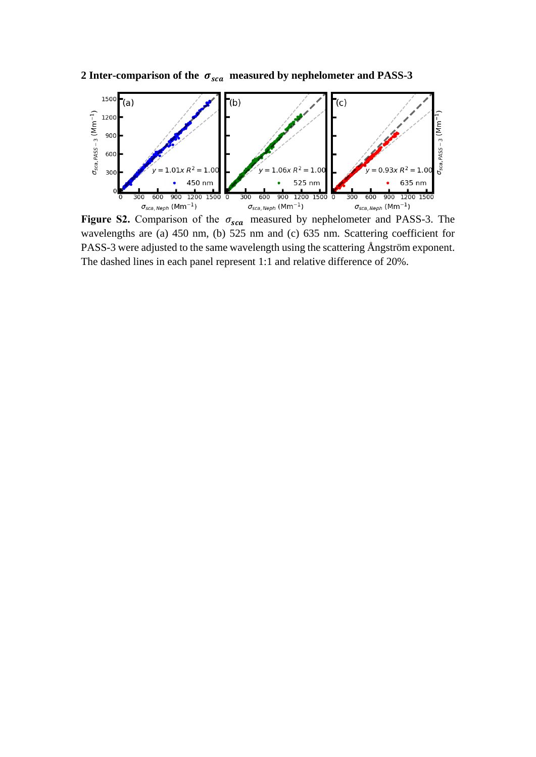

2 **Inter-comparison of the**  $\sigma_{sca}$  **measured by nephelometer and PASS-3** 

Figure S2. Comparison of the  $\sigma_{sca}$  measured by nephelometer and PASS-3. The wavelengths are (a) 450 nm, (b) 525 nm and (c) 635 nm. Scattering coefficient for PASS-3 were adjusted to the same wavelength using the scattering Å ngström exponent. The dashed lines in each panel represent 1:1 and relative difference of 20%.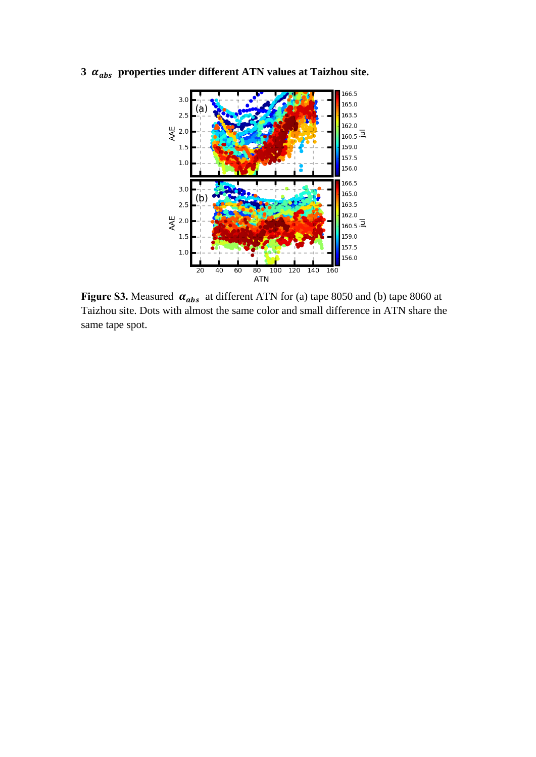



**Figure S3.** Measured  $\alpha_{abs}$  at different ATN for (a) tape 8050 and (b) tape 8060 at Taizhou site. Dots with almost the same color and small difference in ATN share the same tape spot.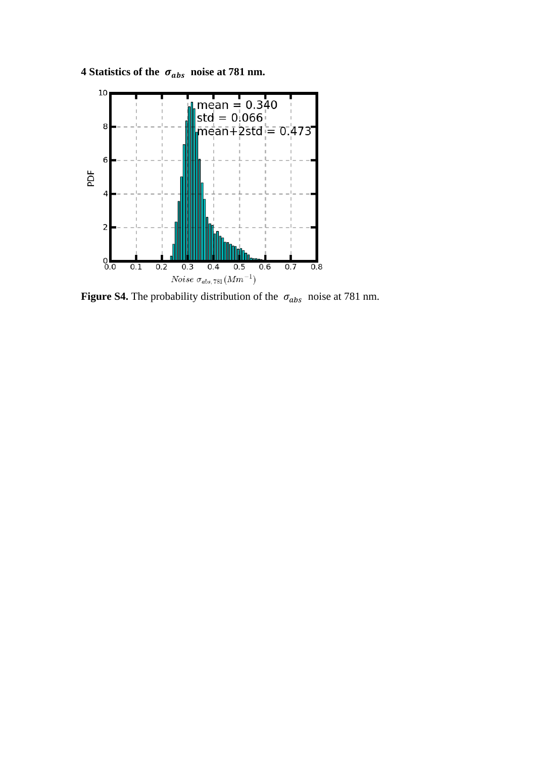**4** Statistics of the  $\sigma_{abs}$  noise at 781 nm.



**Figure S4.** The probability distribution of the  $\sigma_{abs}$  noise at 781 nm.